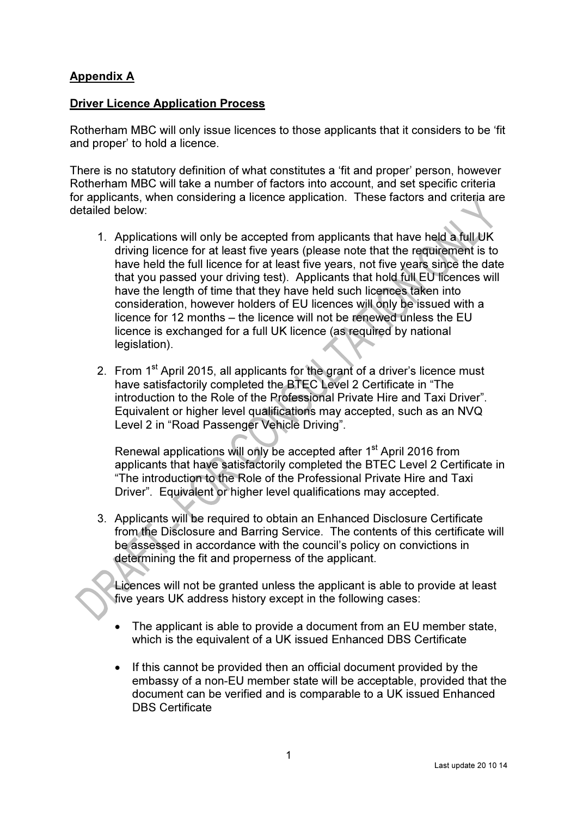## Appendix A

## Driver Licence Application Process

Rotherham MBC will only issue licences to those applicants that it considers to be 'fit and proper' to hold a licence.

There is no statutory definition of what constitutes a 'fit and proper' person, however Rotherham MBC will take a number of factors into account, and set specific criteria for applicants, when considering a licence application. These factors and criteria are detailed below:

- 1. Applications will only be accepted from applicants that have held a full UK driving licence for at least five years (please note that the requirement is to have held the full licence for at least five years, not five years since the date that you passed your driving test). Applicants that hold full EU licences will have the length of time that they have held such licences taken into consideration, however holders of EU licences will only be issued with a licence for 12 months – the licence will not be renewed unless the EU licence is exchanged for a full UK licence (as required by national legislation).
- 2. From 1<sup>st</sup> April 2015, all applicants for the grant of a driver's licence must have satisfactorily completed the BTEC Level 2 Certificate in "The introduction to the Role of the Professional Private Hire and Taxi Driver". Equivalent or higher level qualifications may accepted, such as an NVQ Level 2 in "Road Passenger Vehicle Driving".

Renewal applications will only be accepted after 1<sup>st</sup> April 2016 from applicants that have satisfactorily completed the BTEC Level 2 Certificate in "The introduction to the Role of the Professional Private Hire and Taxi Driver". Equivalent or higher level qualifications may accepted.

3. Applicants will be required to obtain an Enhanced Disclosure Certificate from the Disclosure and Barring Service. The contents of this certificate will be assessed in accordance with the council's policy on convictions in determining the fit and properness of the applicant.

Licences will not be granted unless the applicant is able to provide at least five years UK address history except in the following cases:

- The applicant is able to provide a document from an EU member state. which is the equivalent of a UK issued Enhanced DBS Certificate
- If this cannot be provided then an official document provided by the embassy of a non-EU member state will be acceptable, provided that the document can be verified and is comparable to a UK issued Enhanced DBS Certificate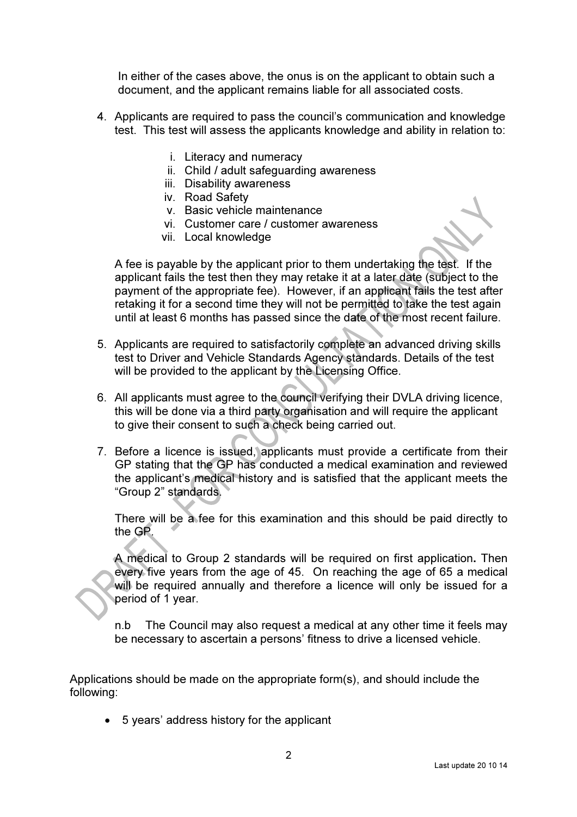In either of the cases above, the onus is on the applicant to obtain such a document, and the applicant remains liable for all associated costs.

- 4. Applicants are required to pass the council's communication and knowledge test. This test will assess the applicants knowledge and ability in relation to:
	- i. Literacy and numeracy
	- ii. Child / adult safeguarding awareness
	- iii. Disability awareness
	- iv. Road Safety
	- v. Basic vehicle maintenance
	- vi. Customer care / customer awareness
	- vii. Local knowledge

A fee is payable by the applicant prior to them undertaking the test. If the applicant fails the test then they may retake it at a later date (subject to the payment of the appropriate fee). However, if an applicant fails the test after retaking it for a second time they will not be permitted to take the test again until at least 6 months has passed since the date of the most recent failure.

- 5. Applicants are required to satisfactorily complete an advanced driving skills test to Driver and Vehicle Standards Agency standards. Details of the test will be provided to the applicant by the Licensing Office.
- 6. All applicants must agree to the council verifying their DVLA driving licence, this will be done via a third party organisation and will require the applicant to give their consent to such a check being carried out.
- 7. Before a licence is issued, applicants must provide a certificate from their GP stating that the GP has conducted a medical examination and reviewed the applicant's medical history and is satisfied that the applicant meets the "Group 2" standards.

There will be a fee for this examination and this should be paid directly to the GP.

A medical to Group 2 standards will be required on first application. Then every five years from the age of 45. On reaching the age of 65 a medical will be required annually and therefore a licence will only be issued for a period of 1 year.

n.b The Council may also request a medical at any other time it feels may be necessary to ascertain a persons' fitness to drive a licensed vehicle.

Applications should be made on the appropriate form(s), and should include the following:

• 5 years' address history for the applicant